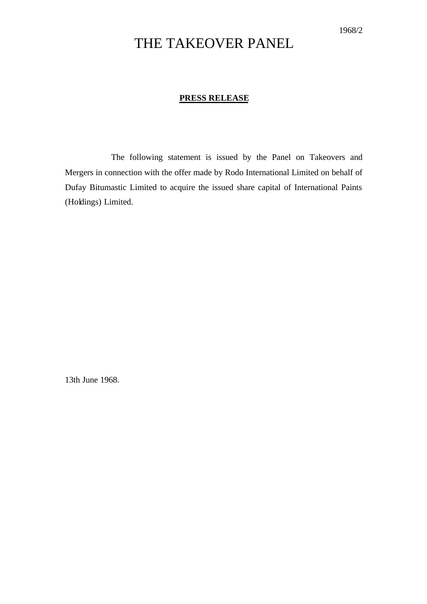## THE TAKEOVER PANEL

## **PRESS RELEASE**

The following statement is issued by the Panel on Takeovers and Mergers in connection with the offer made by Rodo International Limited on behalf of Dufay Bitumastic Limited to acquire the issued share capital of International Paints (Holdings) Limited.

13th June 1968.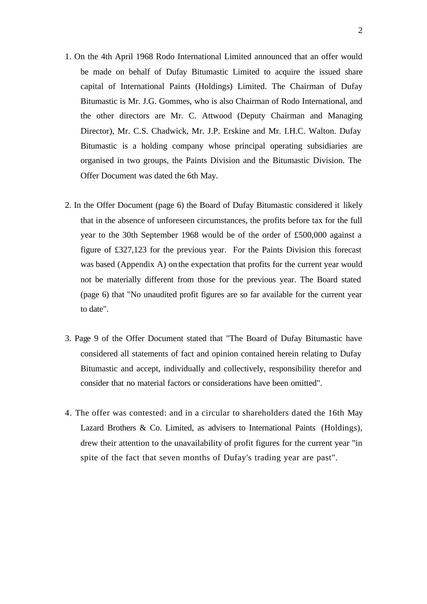- 1. On the 4th April 1968 Rodo International Limited announced that an offer would be made on behalf of Dufay Bitumastic Limited to acquire the issued share capital of International Paints (Holdings) Limited. The Chairman of Dufay Bitumastic is Mr. J.G. Gommes, who is also Chairman of Rodo International, and the other directors are Mr. C. Attwood (Deputy Chairman and Managing Director), Mr. C.S. Chadwick, Mr. J.P. Erskine and Mr. I.H.C. Walton. Dufay Bitumastic is a holding company whose principal operating subsidiaries are organised in two groups, the Paints Division and the Bitumastic Division. The Offer Document was dated the 6th May.
- 2. In the Offer Document (page 6) the Board of Dufay Bitumastic considered it likely that in the absence of unforeseen circumstances, the profits before tax for the full year to the 30th September 1968 would be of the order of £500,000 against a figure of £327,123 for the previous year. For the Paints Division this forecast was based (Appendix A) on the expectation that profits for the current year would not be materially different from those for the previous year. The Board stated (page 6) that "No unaudited profit figures are so far available for the current year to date".
- 3. Page 9 of the Offer Document stated that "The Board of Dufay Bitumastic have considered all statements of fact and opinion contained herein relating to Dufay Bitumastic and accept, individually and collectively, responsibility therefor and consider that no material factors or considerations have been omitted".
- 4. The offer was contested: and in a circular to shareholders dated the 16th May Lazard Brothers & Co. Limited, as advisers to International Paints (Holdings), drew their attention to the unavailability of profit figures for the current year "in spite of the fact that seven months of Dufay's trading year are past".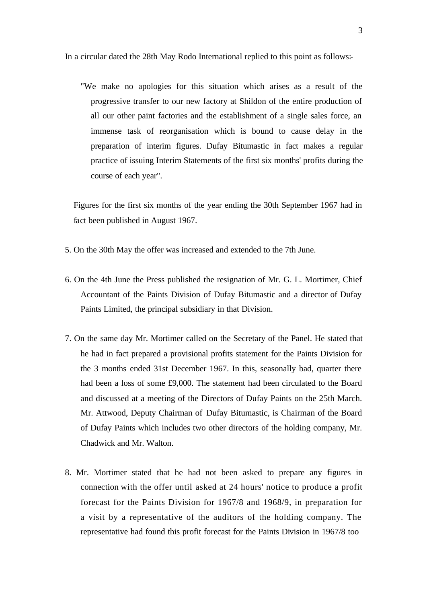In a circular dated the 28th May Rodo International replied to this point as follows:-

"We make no apologies for this situation which arises as a result of the progressive transfer to our new factory at Shildon of the entire production of all our other paint factories and the establishment of a single sales force, an immense task of reorganisation which is bound to cause delay in the preparation of interim figures. Dufay Bitumastic in fact makes a regular practice of issuing Interim Statements of the first six months' profits during the course of each year".

Figures for the first six months of the year ending the 30th September 1967 had in fact been published in August 1967.

- 5. On the 30th May the offer was increased and extended to the 7th June.
- 6. On the 4th June the Press published the resignation of Mr. G. L. Mortimer, Chief Accountant of the Paints Division of Dufay Bitumastic and a director of Dufay Paints Limited, the principal subsidiary in that Division.
- 7. On the same day Mr. Mortimer called on the Secretary of the Panel. He stated that he had in fact prepared a provisional profits statement for the Paints Division for the 3 months ended 31st December 1967. In this, seasonally bad, quarter there had been a loss of some £9,000. The statement had been circulated to the Board and discussed at a meeting of the Directors of Dufay Paints on the 25th March. Mr. Attwood, Deputy Chairman of Dufay Bitumastic, is Chairman of the Board of Dufay Paints which includes two other directors of the holding company, Mr. Chadwick and Mr. Walton.
- 8. Mr. Mortimer stated that he had not been asked to prepare any figures in connection with the offer until asked at 24 hours' notice to produce a profit forecast for the Paints Division for 1967/8 and 1968/9, in preparation for a visit by a representative of the auditors of the holding company. The representative had found this profit forecast for the Paints Division in 1967/8 too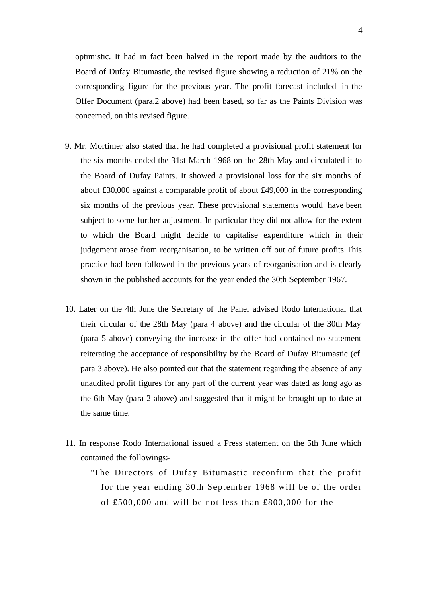optimistic. It had in fact been halved in the report made by the auditors to the Board of Dufay Bitumastic, the revised figure showing a reduction of 21% on the corresponding figure for the previous year. The profit forecast included in the Offer Document (para.2 above) had been based, so far as the Paints Division was concerned, on this revised figure.

- 9. Mr. Mortimer also stated that he had completed a provisional profit statement for the six months ended the 31st March 1968 on the 28th May and circulated it to the Board of Dufay Paints. It showed a provisional loss for the six months of about £30,000 against a comparable profit of about £49,000 in the corresponding six months of the previous year. These provisional statements would have been subject to some further adjustment. In particular they did not allow for the extent to which the Board might decide to capitalise expenditure which in their judgement arose from reorganisation, to be written off out of future profits This practice had been followed in the previous years of reorganisation and is clearly shown in the published accounts for the year ended the 30th September 1967.
- 10. Later on the 4th June the Secretary of the Panel advised Rodo International that their circular of the 28th May (para 4 above) and the circular of the 30th May (para 5 above) conveying the increase in the offer had contained no statement reiterating the acceptance of responsibility by the Board of Dufay Bitumastic (cf. para 3 above). He also pointed out that the statement regarding the absence of any unaudited profit figures for any part of the current year was dated as long ago as the 6th May (para 2 above) and suggested that it might be brought up to date at the same time.
- 11. In response Rodo International issued a Press statement on the 5th June which contained the followings:-

"The Directors of Dufay Bitumastic reconfirm that the profit for the year ending 30th September 1968 will be of the order of £500,000 and will be not less than £800,000 for the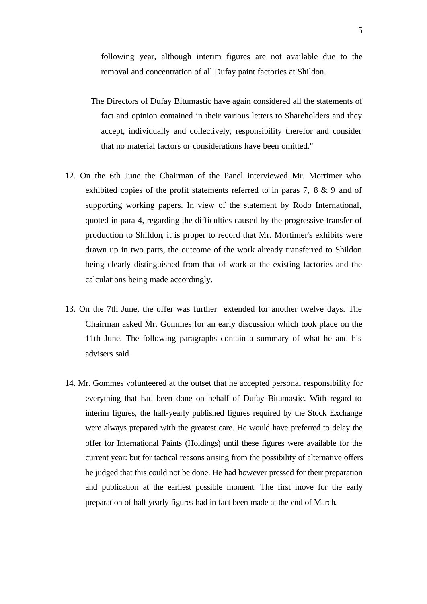following year, although interim figures are not available due to the removal and concentration of all Dufay paint factories at Shildon.

- The Directors of Dufay Bitumastic have again considered all the statements of fact and opinion contained in their various letters to Shareholders and they accept, individually and collectively, responsibility therefor and consider that no material factors or considerations have been omitted."
- 12. On the 6th June the Chairman of the Panel interviewed Mr. Mortimer who exhibited copies of the profit statements referred to in paras 7, 8 & 9 and of supporting working papers. In view of the statement by Rodo International, quoted in para 4, regarding the difficulties caused by the progressive transfer of production to Shildon, it is proper to record that Mr. Mortimer's exhibits were drawn up in two parts, the outcome of the work already transferred to Shildon being clearly distinguished from that of work at the existing factories and the calculations being made accordingly.
- 13. On the 7th June, the offer was further extended for another twelve days. The Chairman asked Mr. Gommes for an early discussion which took place on the 11th June. The following paragraphs contain a summary of what he and his advisers said.
- 14. Mr. Gommes volunteered at the outset that he accepted personal responsibility for everything that had been done on behalf of Dufay Bitumastic. With regard to interim figures, the half-yearly published figures required by the Stock Exchange were always prepared with the greatest care. He would have preferred to delay the offer for International Paints (Holdings) until these figures were available for the current year: but for tactical reasons arising from the possibility of alternative offers he judged that this could not be done. He had however pressed for their preparation and publication at the earliest possible moment. The first move for the early preparation of half yearly figures had in fact been made at the end of March.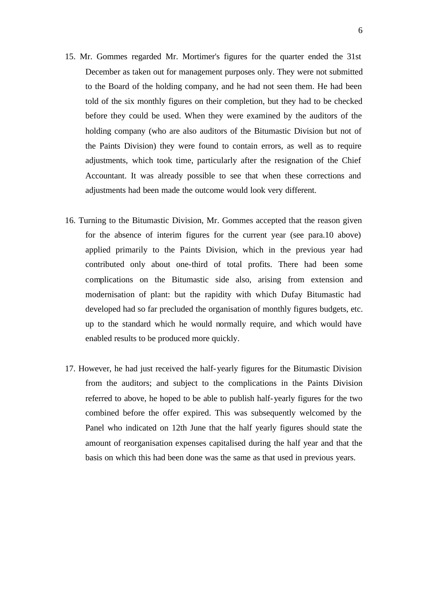- 15. Mr. Gommes regarded Mr. Mortimer's figures for the quarter ended the 31st December as taken out for management purposes only. They were not submitted to the Board of the holding company, and he had not seen them. He had been told of the six monthly figures on their completion, but they had to be checked before they could be used. When they were examined by the auditors of the holding company (who are also auditors of the Bitumastic Division but not of the Paints Division) they were found to contain errors, as well as to require adjustments, which took time, particularly after the resignation of the Chief Accountant. It was already possible to see that when these corrections and adjustments had been made the outcome would look very different.
- 16. Turning to the Bitumastic Division, Mr. Gommes accepted that the reason given for the absence of interim figures for the current year (see para.10 above) applied primarily to the Paints Division, which in the previous year had contributed only about one-third of total profits. There had been some complications on the Bitumastic side also, arising from extension and modernisation of plant: but the rapidity with which Dufay Bitumastic had developed had so far precluded the organisation of monthly figures budgets, etc. up to the standard which he would normally require, and which would have enabled results to be produced more quickly.
- 17. However, he had just received the half-yearly figures for the Bitumastic Division from the auditors; and subject to the complications in the Paints Division referred to above, he hoped to be able to publish half-yearly figures for the two combined before the offer expired. This was subsequently welcomed by the Panel who indicated on 12th June that the half yearly figures should state the amount of reorganisation expenses capitalised during the half year and that the basis on which this had been done was the same as that used in previous years.